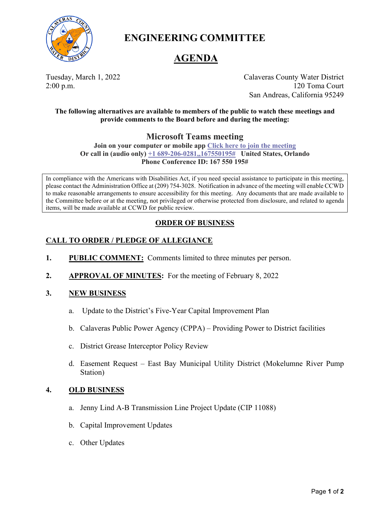

**ENGINEERING COMMITTEE**

# **AGENDA**

Tuesday, March 1, 2022 Calaveras County Water District 2:00 p.m. 120 Toma Court San Andreas, California 95249

**The following alternatives are available to members of the public to watch these meetings and provide comments to the Board before and during the meeting:**

# **Microsoft Teams meeting**

**Join on your computer or mobile app [Click here to join the meeting](https://teams.microsoft.com/l/meetup-join/19%3ameeting_ZjA3ZWM5NWMtNmFmZi00ZTdhLWI3MTQtMTQ2NjU2ODE2ZjFi%40thread.v2/0?context=%7b%22Tid%22%3a%227475aeea-7220-4216-94f7-c6a290f205b2%22%2c%22Oid%22%3a%2231232cb0-1204-4464-8007-ac3b97177bc9%22%7d) Or call in (audio only) [+1 689-206-0281,,167550195#](tel:+16892060281,,167550195#%20) United States, Orlando Phone Conference ID: 167 550 195#**

In compliance with the Americans with Disabilities Act, if you need special assistance to participate in this meeting, please contact the Administration Office at (209) 754-3028. Notification in advance of the meeting will enable CCWD to make reasonable arrangements to ensure accessibility for this meeting. Any documents that are made available to the Committee before or at the meeting, not privileged or otherwise protected from disclosure, and related to agenda items, will be made available at CCWD for public review.

# **ORDER OF BUSINESS**

## **CALL TO ORDER / PLEDGE OF ALLEGIANCE**

- **1. PUBLIC COMMENT:** Comments limited to three minutes per person.
- **2. APPROVAL OF MINUTES:** For the meeting of February 8, 2022

### **3. NEW BUSINESS**

- a. Update to the District's Five-Year Capital Improvement Plan
- b. Calaveras Public Power Agency (CPPA) Providing Power to District facilities
- c. District Grease Interceptor Policy Review
- d. Easement Request East Bay Municipal Utility District (Mokelumne River Pump Station)

### **4. OLD BUSINESS**

- a. Jenny Lind A-B Transmission Line Project Update (CIP 11088)
- b. Capital Improvement Updates
- c. Other Updates